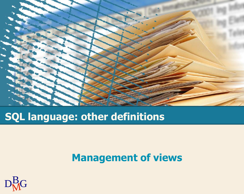

### **SQL language: other definitions**

#### **Management of views**

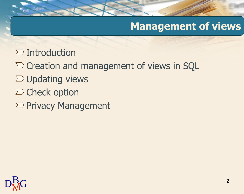### **Management of views**

- $\sum$  Introduction
- $\Sigma$  Creation and management of views in SQL
- $\Sigma$  Updating views
- $\Sigma$  Check option
- $\sum$  Privacy Management

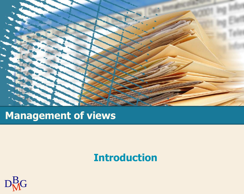

### **Management of views**

### **Introduction**

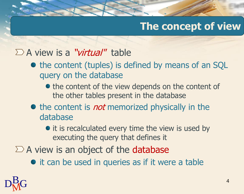## **The concept of view**

#### $\sum A$  view is a "*virtual*" table

- the content (tuples) is defined by means of an SQL query on the database
	- the content of the view depends on the content of the other tables present in the database
- $\bullet$  the content is *not* memorized physically in the database
	- it is recalculated every time the view is used by executing the query that defines it
- $\Sigma$  A view is an object of the database
	- $\bullet$  it can be used in queries as if it were a table

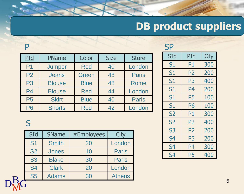# **DB product suppliers**

#### P

| PId            | PName         | Color       | <b>Size</b> | <b>Store</b> |
|----------------|---------------|-------------|-------------|--------------|
| P <sub>1</sub> | Jumper        | <b>Red</b>  | 40          | London       |
| P <sub>2</sub> | <b>Jeans</b>  | Green       | 48          | <b>Paris</b> |
| P <sub>3</sub> | <b>Blouse</b> | <b>Blue</b> | 48          | <b>Rome</b>  |
| P <sub>4</sub> | <b>Blouse</b> | <b>Red</b>  | 44          | London       |
| <b>P5</b>      | <b>Skirt</b>  | <b>Blue</b> | 40          | <b>Paris</b> |
| <b>P6</b>      | <b>Shorts</b> | <b>Red</b>  | 42          | London       |

#### S

|   | SLd            | <b>SName</b> | #Employees | City          |
|---|----------------|--------------|------------|---------------|
|   | S <sub>1</sub> | <b>Smith</b> | 20         | London        |
|   | <b>S2</b>      | <b>Jones</b> | 10         | <b>Paris</b>  |
|   | <b>S3</b>      | <b>Blake</b> | 30         | <b>Paris</b>  |
|   | <b>S4</b>      | <b>Clark</b> | 20         | London        |
| R | <b>S5</b>      | <b>Adams</b> | 30         | <b>Athens</b> |
|   |                |              |            |               |

| <u>SId</u>     | PId            | Qty |
|----------------|----------------|-----|
| S1             | P1             | 300 |
| S1             | P2             | 200 |
| S1             | P3             | 400 |
| S1             | P4             | 200 |
| S1             | P5             | 100 |
| S1             | <b>P6</b>      | 100 |
| <b>S2</b>      | P1             | 300 |
| S2             | P <sub>2</sub> | 400 |
| S3             | P <sub>2</sub> | 200 |
| S <sub>4</sub> | P3             | 200 |
| S <sub>4</sub> | P4             | 300 |
| S <sub>4</sub> | P5             | 400 |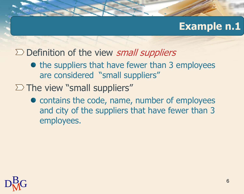#### **Example n.1**

- $\Sigma$  Definition of the view small suppliers
	- the suppliers that have fewer than 3 employees are considered "small suppliers"
- $\Sigma$  The view "small suppliers"
	- contains the code, name, number of employees and city of the suppliers that have fewer than 3 employees.

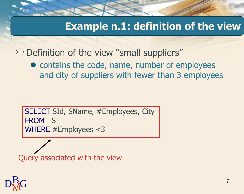### **Example n.1: definition of the view**

 $\Sigma$  Definition of the view "small suppliers"

• contains the code, name, number of employees and city of suppliers with fewer than 3 employees

SELECT SId, SName, #Employees, City FROM S WHERE #Employees <3

Query associated with the view

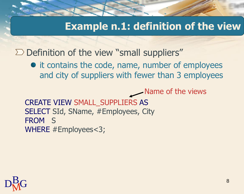#### **Example n.1: definition of the view**

 $\Sigma$  Definition of the view "small suppliers"

• it contains the code, name, number of employees and city of suppliers with fewer than 3 employees

Name of the views

CREATE VIEW SMALL\_SUPPLIERS AS SELECT SId, SName, #Employees, City FROM S WHERE #Employees<3;

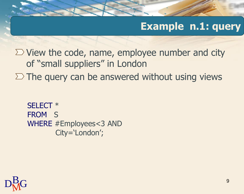#### **Example n.1: query**

 $\Sigma$  View the code, name, employee number and city of "small suppliers" in London  $\Sigma$  The query can be answered without using views

```
SELECT * 
FROM S
WHERE #Employees<3 AND 
       City='London';
```
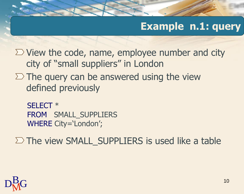### **Example n.1: query**

 $\Sigma$  View the code, name, employee number and city city of "small suppliers" in London

 $\Sigma$  The query can be answered using the view defined previously

SELECT \* FROM SMALL\_SUPPLIERS WHERE City='London';

 $\Sigma$  The view SMALL\_SUPPLIERS is used like a table

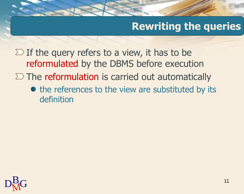### **Rewriting the queries**

 $\Sigma$  If the query refers to a view, it has to be reformulated by the DBMS before execution

- $\Sigma$  The reformulation is carried out automatically
	- the references to the view are substituted by its definition

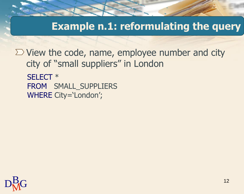**Example n.1: reformulating the query**

 $\Sigma$  View the code, name, employee number and city city of "small suppliers" in London SELECT \* FROM SMALL\_SUPPLIERS

WHERE City='London';

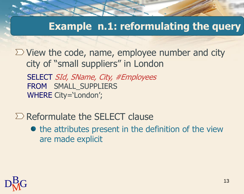#### **Example n.1: reformulating the query**

 $\Sigma$  View the code, name, employee number and city city of "small suppliers" in London

SELECT SId, SName, City, #Employees FROM SMALL\_SUPPLIERS WHERE City='London';

 $\Sigma$  Reformulate the SELECT clause

 $\bullet$  the attributes present in the definition of the view are made explicit

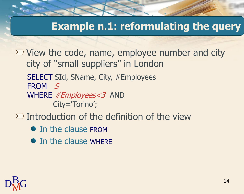#### **Example n.1: reformulating the query**

 $\Sigma$  View the code, name, employee number and city city of "small suppliers" in London

- SELECT SId, SName, City, #Employees FROM S
- WHERE *#Employees<3* AND City='Torino';
- $\Sigma$  Introduction of the definition of the view
	- In the clause FROM
	- In the clause WHERE

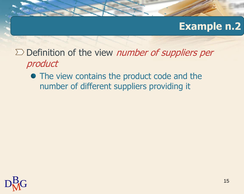#### **Example n.2**

 $\Sigma$  Definition of the view *number of suppliers per* product

• The view contains the product code and the number of different suppliers providing it

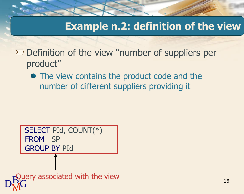### **Example n.2: definition of the view**

 $\Sigma$  Definition of the view "number of suppliers per product"

• The view contains the product code and the number of different suppliers providing it

SELECT PId, COUNT(\*) FROM SP GROUP BY PId

 $D_{\rm M}^{\rm Bcl}$ G associated w Query associated with the view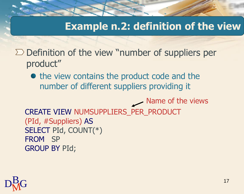### **Example n.2: definition of the view**

 $\Sigma$  Definition of the view "number of suppliers per product"

• the view contains the product code and the number of different suppliers providing it

CREATE VIEW NUMSUPPLIERS\_PER\_PRODUCT (PId, #Suppliers) AS SELECT PId, COUNT(\*) FROM SP GROUP BY PId; Name of the views

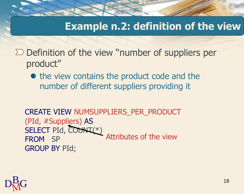### **Example n.2: definition of the view**

 $\Sigma$  Definition of the view "number of suppliers per product"

• the view contains the product code and the number of different suppliers providing it

CREATE VIEW NUMSUPPLIERS\_PER\_PRODUCT (PId, #Suppliers) AS SELECT PId, COUNT(\*) FROM SP GROUP BY PId; Attributes of the view

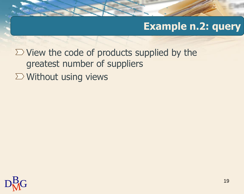### **Example n.2: query**

 $\Sigma$  View the code of products supplied by the greatest number of suppliers  $\Sigma$  Without using views

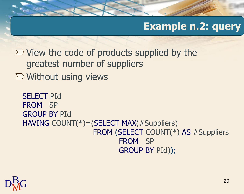### **Example n.2: query**

 $\Sigma$  View the code of products supplied by the greatest number of suppliers  $\Sigma$  Without using views

```
SELECT PId
FROM SP
GROUP BY PId
HAVING COUNT(*)=(SELECT MAX(#Suppliers)
                 FROM (SELECT COUNT(*) AS #Suppliers
                        FROM SP
                        GROUP BY PId));
```
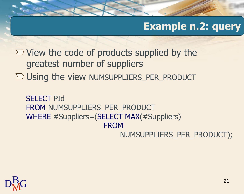### **Example n.2: query**

 $\Sigma$  View the code of products supplied by the greatest number of suppliers  $\Sigma$  Using the view NUMSUPPLIERS PER PRODUCT

SELECT PId FROM NUMSUPPLIERS PER PRODUCT WHERE #Suppliers=(SELECT MAX(#Suppliers) **FROM** NUMSUPPLIERS\_PER\_PRODUCT);

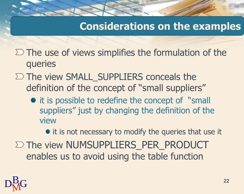### **Considerations on the examples**

- $\Sigma$  The use of views simplifies the formulation of the queries
- $\Sigma$  The view SMALL\_SUPPLIERS conceals the definition of the concept of "small suppliers"
	- it is possible to redefine the concept of "small" suppliers" just by changing the definition of the view

• it is not necessary to modify the queries that use it

 $\Sigma$  The view NUMSUPPLIERS PER PRODUCT enables us to avoid using the table function

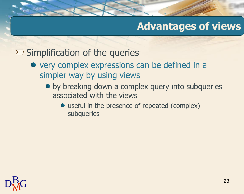#### $\Sigma$  Simplification of the queries

- very complex expressions can be defined in a simpler way by using views
	- by breaking down a complex query into subqueries associated with the views
		- useful in the presence of repeated (complex) subqueries

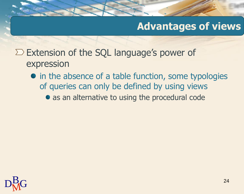- $\Sigma$  Extension of the SQL language's power of expression
	- in the absence of a table function, some typologies of queries can only be defined by using views
		- as an alternative to using the procedural code

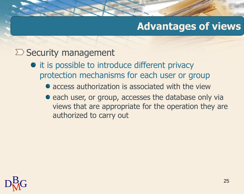#### $\sum$  Security management

- it is possible to introduce different privacy protection mechanisms for each user or group
	- access authorization is associated with the view
	- each user, or group, accesses the database only via views that are appropriate for the operation they are authorized to carry out

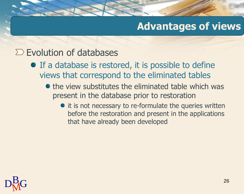#### $\Sigma$  Evolution of databases

- **•** If a database is restored, it is possible to define views that correspond to the eliminated tables
	- $\bullet$  the view substitutes the eliminated table which was present in the database prior to restoration
		- it is not necessary to re-formulate the queries written before the restoration and present in the applications that have already been developed

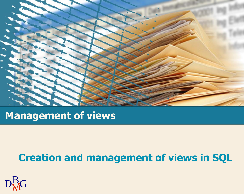

#### **Management of views**

### **Creation and management of views in SQL**

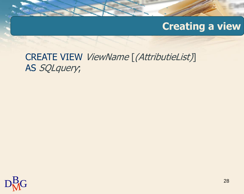### **Creating a view**

#### CREATE VIEW ViewName [(AttributieList)] AS SQLquery;

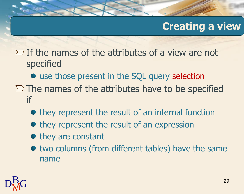### **Creating a view**

 $\Sigma$  If the names of the attributes of a view are not specified

- use those present in the SQL query selection
- $\Sigma$  The names of the attributes have to be specified if
	- they represent the result of an internal function
	- they represent the result of an expression
	- $\bullet$  they are constant
	- $\bullet$  two columns (from different tables) have the same name

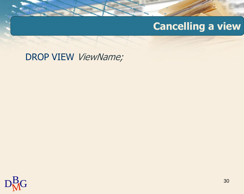## **Cancelling a view**

DROP VIEW ViewName;

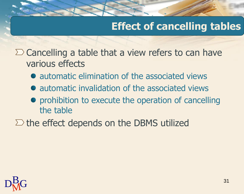## **Effect of cancelling tables**

 $\Sigma$  Cancelling a table that a view refers to can have various effects

- automatic elimination of the associated views
- automatic invalidation of the associated views
- prohibition to execute the operation of cancelling the table
- $\Sigma$  the effect depends on the DBMS utilized

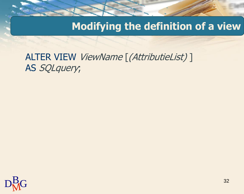#### **Modifying the definition of a view**

ALTER VIEW ViewName [(AttributieList)] AS SQLquery;

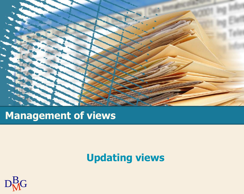

### **Management of views**

## **Updating views**

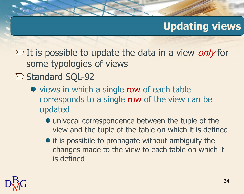## **Updating views**

 $\Sigma$  It is possible to update the data in a view *only* for some typologies of views

- $\Sigma$  Standard SQL-92
	- views in which a single row of each table corresponds to a single row of the view can be updated
		- univocal correspondence between the tuple of the view and the tuple of the table on which it is defined
		- $\bullet$  it is possibile to propagate without ambiguity the changes made to the view to each table on which it is defined

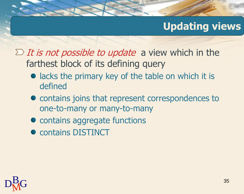### **Updating views**

- $\sum$  *It is not possible to update* a view which in the farthest block of its defining query
	- lacks the primary key of the table on which it is defined
	- $\bullet$  contains joins that represent correspondences to one-to-many or many-to-many
	- contains aggregate functions
	- **contains DISTINCT**

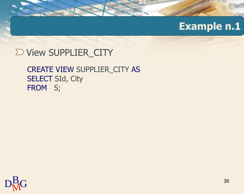### **Example n.1**

#### $\Sigma$  View SUPPLIER\_CITY

#### CREATE VIEW SUPPLIER\_CITY AS SELECT SId, City FROM S;

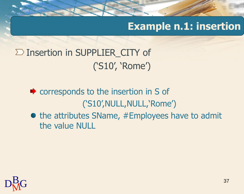# **Example n.1: insertion**

 $\Sigma$  Insertion in SUPPLIER\_CITY of ('S10', 'Rome')

- corresponds to the insertion in S of ('S10',NULL,NULL,'Rome')
- $\bullet$  the attributes SName, #Employees have to admit the value NULL

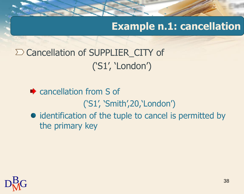**Example n.1: cancellation**

 $\Sigma$  Cancellation of SUPPLIER\_CITY of ('S1', 'London')

• cancellation from S of ('S1', 'Smith',20,'London') • identification of the tuple to cancel is permitted by the primary key

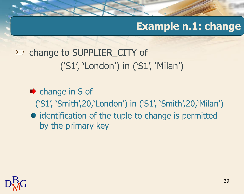# **Example n.1: change**

 $\sum$  change to SUPPLIER\_CITY of ('S1', 'London') in ('S1', 'Milan')

- $\bullet$  change in S of ('S1', 'Smith',20,'London') in ('S1', 'Smith',20,'Milan') • identification of the tuple to change is permitted
	- by the primary key

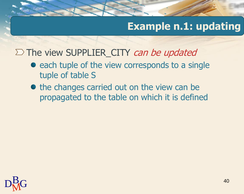# **Example n.1: updating**

#### $\Sigma$  The view SUPPLIER CITY can be updated

- $\bullet$  each tuple of the view corresponds to a single tuple of table S
- the changes carried out on the view can be propagated to the table on which it is defined

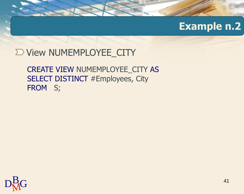### $\Sigma$  View NUMEMPLOYEE\_CITY

#### CREATE VIEW NUMEMPLOYEE\_CITY AS SELECT DISTINCT #Employees, City FROM S;

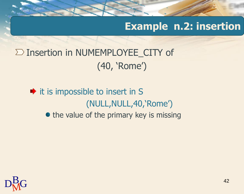# **Example n.2: insertion**

 $\Sigma$  Insertion in NUMEMPLOYEE\_CITY of (40, 'Rome')

 $\rightarrow$  it is impossible to insert in S (NULL,NULL,40,'Rome') • the value of the primary key is missing

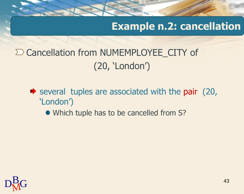## **Example n.2: cancellation**

# $\Sigma$  Cancellation from NUMEMPLOYEE\_CITY of (20, 'London')

- several tuples are associated with the pair  $(20, 10)$ 'London')
	- Which tuple has to be cancelled from S?

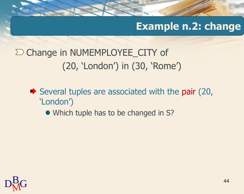# **Example n.2: change**

 $\Sigma$  Change in NUMEMPLOYEE\_CITY of (20, 'London') in (30, 'Rome')

- Several tuples are associated with the pair  $(20, 10)$ 'London')
	- Which tuple has to be changed in S?

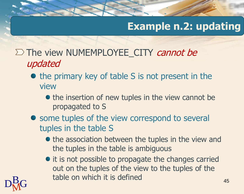# **Example n.2: updating**

45

- $\Sigma$  The view NUMEMPLOYEE CITY *cannot be* updated
	- $\bullet$  the primary key of table S is not present in the view
		- the insertion of new tuples in the view cannot be propagated to S
	- some tuples of the view correspond to several tuples in the table S
		- the association between the tuples in the view and the tuples in the table is ambiguous
- $D_{\rm M}^{\rm B}$ G table on • it is not possible to propagate the changes carried out on the tuples of the view to the tuples of the table on which it is defined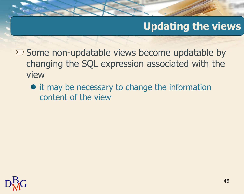# **Updating the views**

- $\Sigma$  Some non-updatable views become updatable by changing the SQL expression associated with the view
	- it may be necessary to change the information content of the view

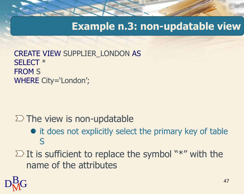### **Example n.3: non-updatable view**

CREATE VIEW SUPPLIER\_LONDON AS SELECT \* FROM S WHERE City='London';

#### $\Sigma$  The view is non-updatable

- it does not explicitly select the primary key of table S
- $\Sigma$  It is sufficient to replace the symbol "\*" with the name of the attributes

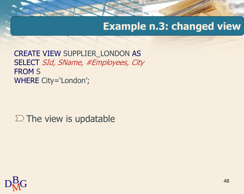# **Example n.3: changed view**

CREATE VIEW SUPPLIER\_LONDON AS SELECT SId, SName, #Employees, City FROM S WHERE City='London';

 $\Sigma$  The view is updatable

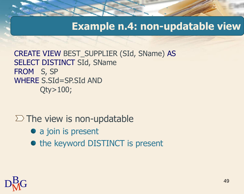#### **Example n.4: non-updatable view**

CREATE VIEW BEST\_SUPPLIER (SId, SName) AS SELECT DISTINCT SId, SName FROM S, SP WHERE S.SId=SP.SId AND Qty>100;

### $\Sigma$  The view is non-updatable

- a join is present
- the keyword DISTINCT is present

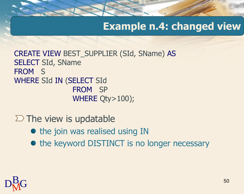# **Example n.4: changed view**

CREATE VIEW BEST\_SUPPLIER (SId, SName) AS SELECT SId, SName FROM S WHERE SId IN (SELECT SId FROM SP WHERE Qty>100);

- $\Sigma$  The view is updatable
	- the join was realised using IN
	- the keyword DISTINCT is no longer necessary

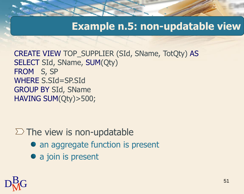### **Example n.5: non-updatable view**

CREATE VIEW TOP\_SUPPLIER (SId, SName, TotQty) AS SELECT SId, SName, SUM(Qty) FROM S, SP WHERE S.SId=SP.SId GROUP BY SId, SName HAVING SUM(Qty)>500;

#### $\Sigma$  The view is non-updatable

- an aggregate function is present
- a join is present

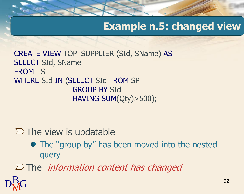# **Example n.5: changed view**

CREATE VIEW TOP\_SUPPLIER (SId, SName) AS SELECT SId, SName FROM S WHERE SId IN (SELECT SId FROM SP GROUP BY SId HAVING SUM(Qty)>500);

#### $\Sigma$  The view is updatable

 $D_M^B G$ 

• The "group by" has been moved into the nested query

 $\Sigma$  The *information content has changed*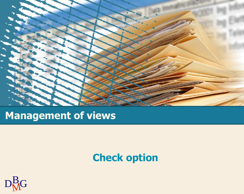

# **Management of views**

# **Check option**

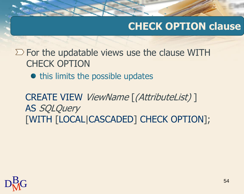# **CHECK OPTION clause**

 $\Sigma$  For the updatable views use the clause WITH CHECK OPTION

• this limits the possible updates

CREATE VIEW ViewName [(AttributeList) ] AS SQLQuery [WITH [LOCAL|CASCADED] CHECK OPTION];

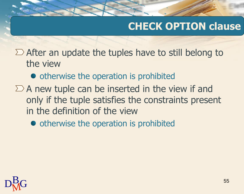# **CHECK OPTION clause**

- $\Sigma$  After an update the tuples have to still belong to the view
	- otherwise the operation is prohibited
- $\Sigma$  A new tuple can be inserted in the view if and only if the tuple satisfies the constraints present in the definition of the view
	- otherwise the operation is prohibited

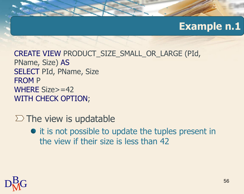CREATE VIEW PRODUCT\_SIZE\_SMALL\_OR\_LARGE (PId, PName, Size) AS SELECT PId, PName, Size FROM P WHERE Size>=42 WITH CHECK OPTION;

#### $\Sigma$  The view is updatable

• it is not possible to update the tuples present in the view if their size is less than 42

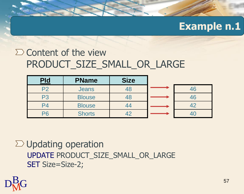### $\sum$  Content of the view PRODUCT SIZE SMALL OR LARGE

| Pld            | <b>PName</b>  | <b>Size</b> |    |
|----------------|---------------|-------------|----|
| P2             | <b>Jeans</b>  | 48          | 46 |
| P3             | <b>Blouse</b> | 48          | 46 |
| P <sub>4</sub> | <b>Blouse</b> | 44          | 42 |
|                | <b>Shorts</b> |             |    |

 $\Sigma$  Updating operation UPDATE PRODUCT\_SIZE\_SMALL\_OR\_LARGE SET Size=Size-2;

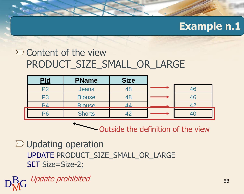### $\sum$  Content of the view PRODUCT SIZE SMALL OR LARGE

| Pld            | <b>PName</b>  | <b>Size</b> |      |
|----------------|---------------|-------------|------|
| P <sub>2</sub> | <b>Jeans</b>  | 48          | 46   |
| P <sub>3</sub> | <b>Blouse</b> | 48          | 46   |
|                | <b>Blouse</b> | Δ4          | ⁄l ⊆ |
| PR             | <b>Shorts</b> |             |      |

Outside the definition of the view

 $\Sigma$  Updating operation UPDATE PRODUCT\_SIZE\_SMALL\_OR\_LARGE SET Size=Size-2;

 ${\rm D}^{\rm B}_{\rm M}$ G $\;$ Update prohibited  $\;$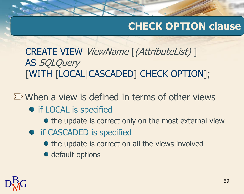# **CHECK OPTION clause**

CREATE VIEW ViewName [(AttributeList) ] AS SQLQuery [WITH [LOCAL|CASCADED] CHECK OPTION];

 $\Sigma$  When a view is defined in terms of other views

- if LOCAL is specified
	- the update is correct only on the most external view
- **•** if CASCADED is specified
	- the update is correct on all the views involved
	- default options

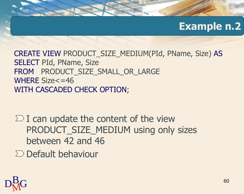CREATE VIEW PRODUCT\_SIZE\_MEDIUM(PId, PName, Size) AS SELECT PId, PName, Size FROM PRODUCT\_SIZE\_SMALL\_OR\_LARGE WHERE Size<=46 WITH CASCADED CHECK OPTION;

 $\Sigma$  I can update the content of the view PRODUCT\_SIZE\_MEDIUM using only sizes between 42 and 46

 $\sum$  Default behaviour

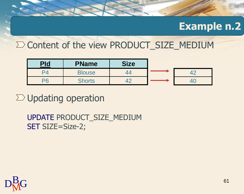#### $\Sigma$  Content of the view PRODUCT SIZE\_MEDIUM

| <u>Pld</u> | <b>PName</b>  | <b>Size</b> |  |
|------------|---------------|-------------|--|
| D,         | <b>Blouse</b> |             |  |
| DF         | <b>Shorts</b> |             |  |

 $\Sigma$  Updating operation

UPDATE PRODUCT\_SIZE\_MEDIUM SET SIZE=Size-2;

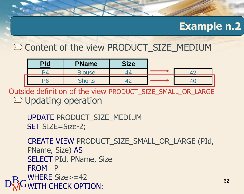#### $\Sigma$  Content of the view PRODUCT SIZE\_MEDIUM

| <u>Pld</u> | <b>PName</b>  | <b>Size</b> |  |
|------------|---------------|-------------|--|
|            | <b>Blouse</b> |             |  |
|            | <b>Shorts</b> |             |  |

 $\Sigma$  Updating operation Outside definition of the view PRODUCT\_SIZE\_SMALL\_OR\_LARGE

UPDATE PRODUCT\_SIZE\_MEDIUM SET SIZE=Size-2;

 $\mathrm{D}^{\mathrm{B}}_{\mathrm{M}}$ GWITH CHECK OPTION; CREATE VIEW PRODUCT\_SIZE\_SMALL\_OR\_LARGE (PId, PName, Size) AS SELECT PId, PName, Size FROM P WHERE Size>=42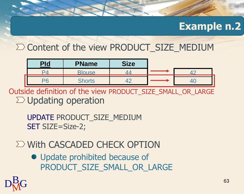#### $\Sigma$  Content of the view PRODUCT SIZE\_MEDIUM

| <u>Pld</u> | <b>PName</b>  | <b>Size</b> |  |
|------------|---------------|-------------|--|
|            | <b>Blouse</b> |             |  |
|            | <b>Shorts</b> |             |  |

 $\Sigma$  Updating operation Outside definition of the view PRODUCT\_SIZE\_SMALL\_OR\_LARGE

UPDATE PRODUCT\_SIZE\_MEDIUM SET SIZE=Size-2;

### $\Sigma$  With CASCADED CHECK OPTION

• Update prohibited because of PRODUCT SIZE SMALL\_OR\_LARGE

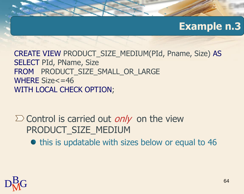CREATE VIEW PRODUCT\_SIZE\_MEDIUM(PId, Pname, Size) AS SELECT PId, PName, Size FROM PRODUCT SIZE SMALL OR LARGE WHERE Size<=46 WITH LOCAL CHECK OPTION;

 $\sum$  Control is carried out *only* on the view PRODUCT\_SIZE\_MEDIUM

• this is updatable with sizes below or equal to 46

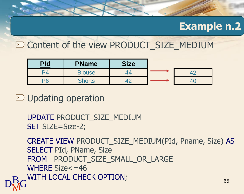#### $\Sigma$  Content of the view PRODUCT SIZE\_MEDIUM

| <u>Pld</u> | <b>PName</b>  | <b>Size</b> |  |
|------------|---------------|-------------|--|
|            | <b>Blouse</b> |             |  |
| DG         | <b>Shorts</b> |             |  |

 $\Sigma$  Updating operation

UPDATE PRODUCT\_SIZE\_MEDIUM SET SIZE=Size-2;

 $\mathrm{D^B_{\mathbf{M}^G}}$  with local check option; 65 CREATE VIEW PRODUCT\_SIZE\_MEDIUM(PId, Pname, Size) AS SELECT PId, PName, Size FROM PRODUCT SIZE SMALL OR LARGE WHERE Size<=46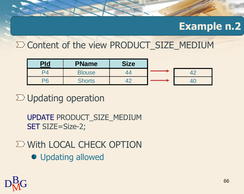#### $\Sigma$  Content of the view PRODUCT SIZE\_MEDIUM

| <u>Pld</u> | <b>PName</b>  | <b>Size</b> |  |
|------------|---------------|-------------|--|
|            | <b>Blouse</b> |             |  |
| DA         | <b>Shorts</b> |             |  |

 $\Sigma$  Updating operation

UPDATE PRODUCT\_SIZE\_MEDIUM SET SIZE=Size-2;

 $\Sigma$  With LOCAL CHECK OPTION

**• Updating allowed** 

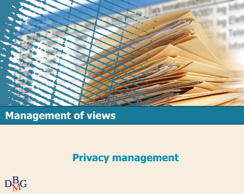

### **Management of views**

## **Privacy management**

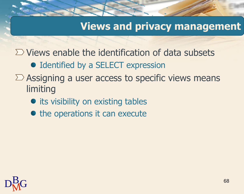### **Views and privacy management**

 $\Sigma$  Views enable the identification of data subsets

- Identified by a SELECT expression
- $\Sigma$  Assigning a user access to specific views means limiting
	- its visibility on existing tables
	- the operations it can execute

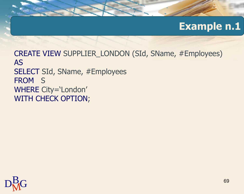CREATE VIEW SUPPLIER\_LONDON (SId, SName, #Employees) AS SELECT SId, SName, #Employees FROM S WHERE City='London' WITH CHECK OPTION;

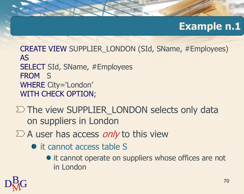CREATE VIEW SUPPLIER\_LONDON (SId, SName, #Employees) AS SELECT SId, SName, #Employees FROM S WHERE City='London' WITH CHECK OPTION;

 $\Sigma$  The view SUPPLIER\_LONDON selects only data on suppliers in London

 $\sum A$  user has access *only* to this view

- it cannot access table S
	- it cannot operate on suppliers whose offices are not in London

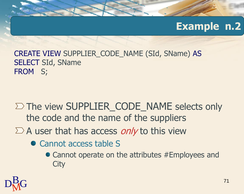CREATE VIEW SUPPLIER\_CODE\_NAME (SId, SName) AS SELECT SId, SName FROM S;

- $\Sigma$  The view SUPPLIER CODE NAME selects only the code and the name of the suppliers
- $\sum A$  user that has access *only* to this view
	- Cannot access table S
		- Cannot operate on the attributes #Employees and **City**

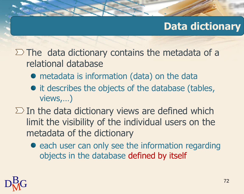# **Data dictionary**

### $\Sigma$  The data dictionary contains the metadata of a relational database

- metadata is information (data) on the data
- it describes the objects of the database (tables, views,…)
- $\Sigma$  In the data dictionary views are defined which limit the visibility of the individual users on the metadata of the dictionary
	- each user can only see the information regarding objects in the database defined by itself